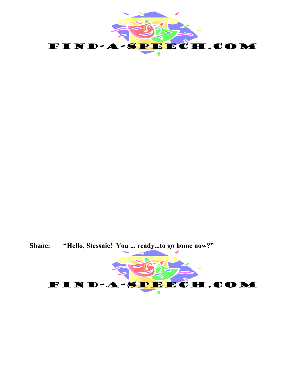

**Shane: "Hello, Stessnie! You ... ready...to go home now?"**

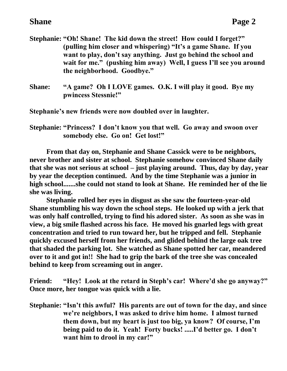- **Stephanie: "Oh! Shane! The kid down the street! How could I forget?" (pulling him closer and whispering) "It's a game Shane. If you want to play, don't say anything. Just go behind the school and wait for me." (pushing him away) Well, I guess I'll see you around the neighborhood. Goodbye."**
- **Shane: "A game? Oh I LOVE games. O.K. I will play it good. Bye my pwincess Stessnie!"**

**Stephanie's new friends were now doubled over in laughter.**

**Stephanie: "Princess? I don't know you that well. Go away and swoon over somebody else. Go on! Get lost!"**

**From that day on, Stephanie and Shane Cassick were to be neighbors, never brother and sister at school. Stephanie somehow convinced Shane daily that she was not serious at school – just playing around. Thus, day by day, year by year the deception continued. And by the time Stephanie was a junior in high school.......she could not stand to look at Shane. He reminded her of the lie she was living.**

**Stephanie rolled her eyes in disgust as she saw the fourteen-year-old Shane stumbling his way down the school steps. He looked up with a jerk that was only half controlled, trying to find his adored sister. As soon as she was in view, a big smile flashed across his face. He moved his gnarled legs with great concentration and tried to run toward her, but he tripped and fell. Stephanie quickly excused herself from her friends, and glided behind the large oak tree that shaded the parking lot. She watched as Shane spotted her car, meandered over to it and got in!! She had to grip the bark of the tree she was concealed behind to keep from screaming out in anger.**

**Friend: "Hey! Look at the retard in Steph's car! Where'd she go anyway?" Once more, her tongue was quick with a lie.**

**Stephanie: "Isn't this awful? His parents are out of town for the day, and since we're neighbors, I was asked to drive him home. I almost turned them down, but my heart is just too big, ya know? Of course, I'm being paid to do it. Yeah! Forty bucks! .....I'd better go. I don't want him to drool in my car!"**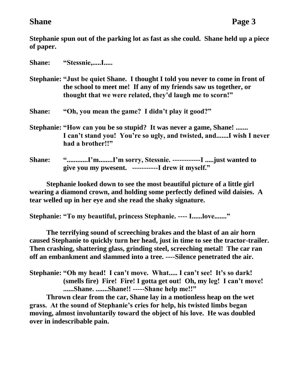**Stephanie spun out of the parking lot as fast as she could. Shane held up a piece of paper.**

| <b>Shane:</b> | "Stessnie,I                                                                                                                                                                                                    |
|---------------|----------------------------------------------------------------------------------------------------------------------------------------------------------------------------------------------------------------|
|               | Stephanie: "Just be quiet Shane. I thought I told you never to come in front of<br>the school to meet me! If any of my friends saw us together, or<br>thought that we were related, they'd laugh me to scorn!" |
| <b>Shane:</b> | "Oh, you mean the game? I didn't play it good?"                                                                                                                                                                |
|               | Stephanie: "How can you be so stupid? It was never a game, Shane!<br>I can't stand you! You're so ugly, and twisted, andI wish I never<br>had a brother!!"                                                     |
| <b>Shane:</b> | "I'mI'm sorry, Stessnie. -------------I just wanted to<br>give you my pwesent. -----------I drew it myself."                                                                                                   |

**Stephanie looked down to see the most beautiful picture of a little girl wearing a diamond crown, and holding some perfectly defined wild daisies. A tear welled up in her eye and she read the shaky signature.**

**Stephanie: "To my beautiful, princess Stephanie. ---- I......love......."**

**The terrifying sound of screeching brakes and the blast of an air horn caused Stephanie to quickly turn her head, just in time to see the tractor-trailer. Then crashing, shattering glass, grinding steel, screeching metal! The car ran off an embankment and slammed into a tree. ----Silence penetrated the air.**

**Stephanie: "Oh my head! I can't move. What..... I can't see! It's so dark! (smells fire) Fire! Fire! I gotta get out! Oh, my leg! I can't move! ......Shane. .......Shane!! -----Shane help me!!"**

**Thrown clear from the car, Shane lay in a motionless heap on the wet grass. At the sound of Stephanie's cries for help, his twisted limbs began moving, almost involuntarily toward the object of his love. He was doubled over in indescribable pain.**